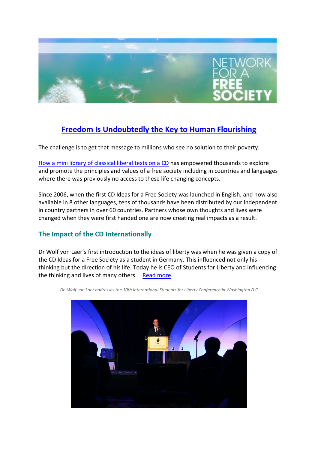

# **[Freedom Is Undoubtedly the Key to Human Flourishing](https://www.fraserinstitute.org/studies/human-freedom-index-2019)**

The challenge is to get that message to millions who see no solution to their poverty.

[How a mini library of classical liberal texts on a CD](http://www.networkforafreesociety.org/ideas-for-a-free-society-the-mini-library-of-classical-liberal-texts-on-a-cd/) has empowered thousands to explore and promote the principles and values of a free society including in countries and languages where there was previously no access to these life changing concepts.

Since 2006, when the first CD Ideas for a Free Society was launched in English, and now also available in 8 other languages, tens of thousands have been distributed by our independent in country partners in over 60 countries. Partners whose own thoughts and lives were changed when they were first handed one are now creating real impacts as a result.

### **The Impact of the CD Internationally**

Dr Wolf von Laer's first introduction to the ideas of liberty was when he was given a copy of the CD Ideas for a Free Society as a student in Germany. This influenced not only his thinking but the direction of his life. Today he is CEO of Students for Liberty and influencing the thinking and lives of many others. Read [more.](http://www.networkforafreesociety.org/the-impact-of-the-cd-internationally/)



*Dr. Wolf von Laer addresses the 10th International Students for Liberty Conference in Washington D.C*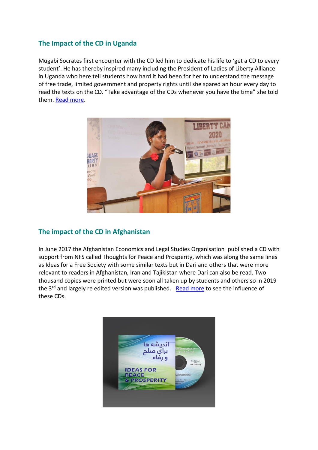## **The Impact of the CD in Uganda**

Mugabi Socrates first encounter with the CD led him to dedicate his life to 'get a CD to every student'. He has thereby inspired many including the President of Ladies of Liberty Alliance in Uganda who here tell students how hard it had been for her to understand the message of free trade, limited government and property rights until she spared an hour every day to read the texts on the CD. "Take advantage of the CDs whenever you have the time" she told them[. Read more.](http://www.networkforafreesociety.org/the-impact-of-the-cd-in-uganda/)



### **The impact of the CD in Afghanistan**

In June 2017 the Afghanistan Economics and Legal Studies Organisation published a CD with support from NFS called Thoughts for Peace and Prosperity, which was along the same lines as Ideas for a Free Society with some similar texts but in Dari and others that were more relevant to readers in Afghanistan, Iran and Tajikistan where Dari can also be read. Two thousand copies were printed but were soon all taken up by students and others so in 2019 the 3<sup>rd</sup> and largely re edited version was published. [Read more](http://www.networkforafreesociety.org/the-impact-of-the-cd-in-afghanistan/) to see the influence of these CDs.

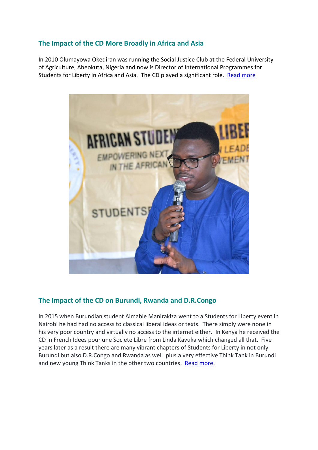## **The Impact of the CD More Broadly in Africa and Asia**

In 2010 Olumayowa Okediran was running the Social Justice Club at the Federal University of Agriculture, Abeokuta, Nigeria and now is Director of International Programmes for Students for Liberty in Africa and Asia. The CD played a significant role. [Read](http://www.networkforafreesociety.org/the-impact-of-the-cd-more-broadly-in-africa-and-asia/) more



### **The Impact of the CD on Burundi, Rwanda and D.R.Congo**

In 2015 when Burundian student Aimable Manirakiza went to a Students for Liberty event in Nairobi he had had no access to classical liberal ideas or texts. There simply were none in his very poor country and virtually no access to the internet either. In Kenya he received the CD in French Idees pour une Societe Libre from Linda Kavuka which changed all that. Five years later as a result there are many vibrant chapters of Students for Liberty in not only Burundi but also D.R.Congo and Rwanda as well plus a very effective Think Tank in Burundi and new young Think Tanks in the other two countries. [Read more.](http://www.networkforafreesociety.org/the-impact-of-the-cd-on-burundi-rwanda-and-d-r-congo/)